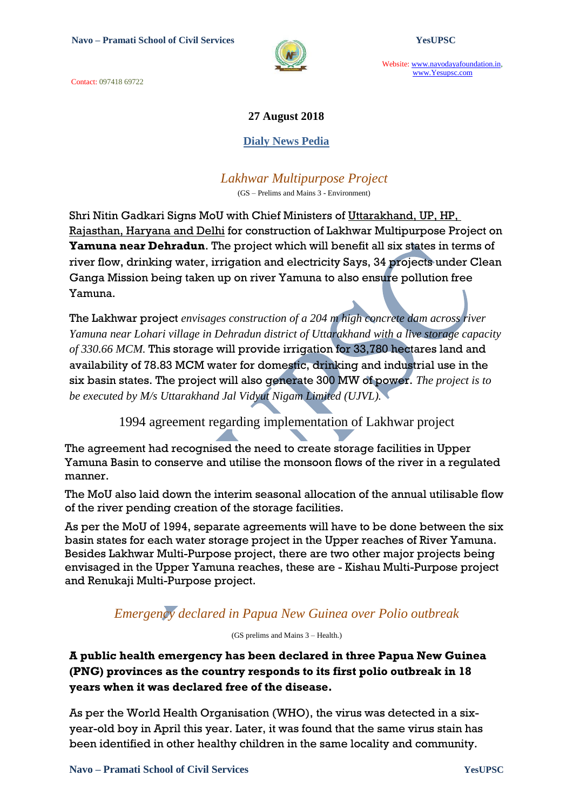Contact: 097418 69722



Website: www.navodayafoundation.in, www.Yesupsc.com

### **27 August 2018**

#### **Dialy News Pedia**

*Lakhwar Multipurpose Project*

(GS – Prelims and Mains 3 - Environment)

Shri Nitin Gadkari Signs MoU with Chief Ministers of Uttarakhand, UP, HP, Rajasthan, Haryana and Delhi for construction of Lakhwar Multipurpose Project on **Yamuna near Dehradun**. The project which will benefit all six states in terms of river flow, drinking water, irrigation and electricity Says, 34 projects under Clean Ganga Mission being taken up on river Yamuna to also ensure pollution free Yamuna.

The Lakhwar project *envisages construction of a 204 m high concrete dam across river Yamuna near Lohari village in Dehradun district of Uttarakhand with a live storage capacity of 330.66 MCM.* This storage will provide irrigation for 33,780 hectares land and availability of 78.83 MCM water for domestic, drinking and industrial use in the six basin states. The project will also generate 300 MW of power. *The project is to be executed by M/s Uttarakhand Jal Vidyut Nigam Limited (UJVL).*

1994 agreement regarding implementation of Lakhwar project

The agreement had recognised the need to create storage facilities in Upper Yamuna Basin to conserve and utilise the monsoon flows of the river in a regulated manner.

The MoU also laid down the interim seasonal allocation of the annual utilisable flow of the river pending creation of the storage facilities.

As per the MoU of 1994, separate agreements will have to be done between the six basin states for each water storage project in the Upper reaches of River Yamuna. Besides Lakhwar Multi-Purpose project, there are two other major projects being envisaged in the Upper Yamuna reaches, these are - Kishau Multi-Purpose project and Renukaji Multi-Purpose project.

## *Emergency declared in Papua New Guinea over Polio outbreak*

(GS prelims and Mains 3 – Health.)

**A public health emergency has been declared in three Papua New Guinea (PNG) provinces as the country responds to its first polio outbreak in 18 years when it was declared free of the disease.**

As per the World Health Organisation (WHO), the virus was detected in a sixyear-old boy in April this year. Later, it was found that the same virus stain has been identified in other healthy children in the same locality and community.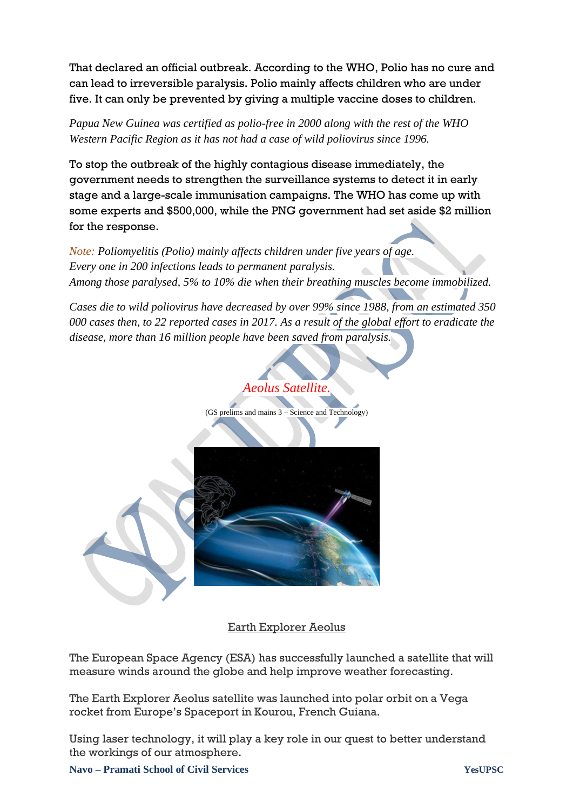That declared an official outbreak. According to the WHO, Polio has no cure and can lead to irreversible paralysis. Polio mainly affects children who are under five. It can only be prevented by giving a multiple vaccine doses to children.

*Papua New Guinea was certified as polio-free in 2000 along with the rest of the WHO Western Pacific Region as it has not had a case of wild poliovirus since 1996.*

To stop the outbreak of the highly contagious disease immediately, the government needs to strengthen the surveillance systems to detect it in early stage and a large-scale immunisation campaigns. The WHO has come up with some experts and \$500,000, while the PNG government had set aside \$2 million for the response.

*Note: Poliomyelitis (Polio) mainly affects children under five years of age. Every one in 200 infections leads to permanent paralysis. Among those paralysed, 5% to 10% die when their breathing muscles become immobilized.*

*Cases die to wild poliovirus have decreased by over 99% since 1988, from an estimated 350 000 cases then, to 22 reported cases in 2017. As a result of the global effort to eradicate the disease, more than 16 million people have been saved from paralysis.*



Earth Explorer Aeolus

The European Space Agency (ESA) has successfully launched a satellite that will measure winds around the globe and help improve weather forecasting.

The Earth Explorer Aeolus satellite was launched into polar orbit on a Vega rocket from Europe"s Spaceport in Kourou, French Guiana.

Using laser technology, it will play a key role in our quest to better understand the workings of our atmosphere.

**Navo – Pramati School of Civil Services YesUPSC**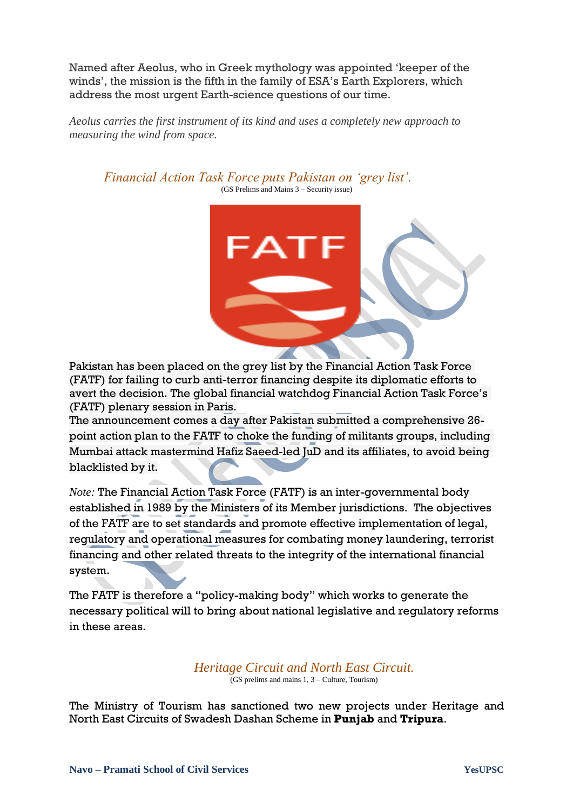Named after Aeolus, who in Greek mythology was appointed "keeper of the winds", the mission is the fifth in the family of ESA"s Earth Explorers, which address the most urgent Earth-science questions of our time.

*Aeolus carries the first instrument of its kind and uses a completely new approach to measuring the wind from space.*

*Financial Action Task Force puts Pakistan on 'grey list'.* (GS Prelims and Mains 3 – Security issue)



Pakistan has been placed on the grey list by the Financial Action Task Force (FATF) for failing to curb anti-terror financing despite its diplomatic efforts to avert the decision. The global financial watchdog Financial Action Task Force"s (FATF) plenary session in Paris.

The announcement comes a day after Pakistan submitted a comprehensive 26 point action plan to the FATF to choke the funding of militants groups, including Mumbai attack mastermind Hafiz Saeed-led JuD and its affiliates, to avoid being blacklisted by it.

*Note:* The Financial Action Task Force (FATF) is an inter-governmental body established in 1989 by the Ministers of its Member jurisdictions. The objectives of the FATF are to set standards and promote effective implementation of legal, regulatory and operational measures for combating money laundering, terrorist financing and other related threats to the integrity of the international financial system.

The FATF is therefore a "policy-making body" which works to generate the necessary political will to bring about national legislative and regulatory reforms in these areas.

*Heritage Circuit and North East Circuit.*

 $\overline{G}$  (GS prelims and mains 1, 3 – Culture, Tourism)

The Ministry of Tourism has sanctioned two new projects under Heritage and North East Circuits of Swadesh Dashan Scheme in **Punjab** and **Tripura**.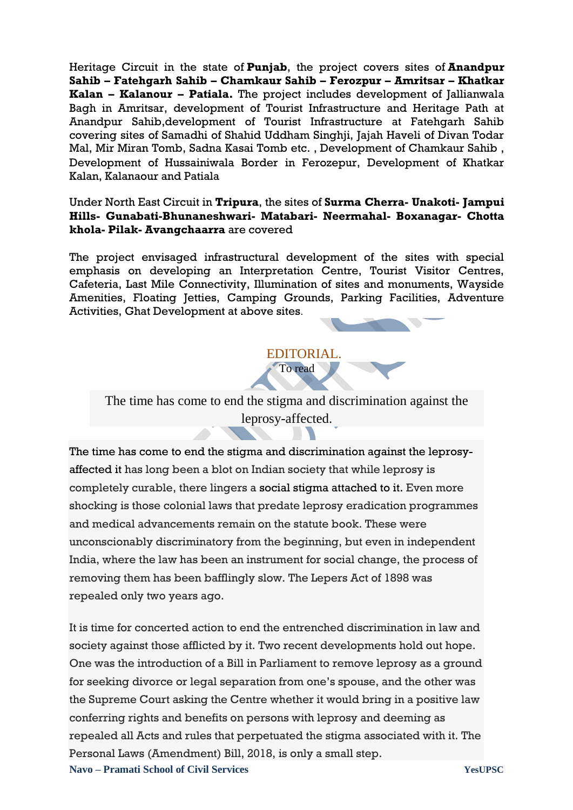Heritage Circuit in the state of **Punjab**, the project covers sites of **Anandpur Sahib – Fatehgarh Sahib – Chamkaur Sahib – Ferozpur – Amritsar – Khatkar Kalan – Kalanour – Patiala.** The project includes development of Jallianwala Bagh in Amritsar, development of Tourist Infrastructure and Heritage Path at Anandpur Sahib,development of Tourist Infrastructure at Fatehgarh Sahib covering sites of Samadhi of Shahid Uddham Singhji, Jajah Haveli of Divan Todar Mal, Mir Miran Tomb, Sadna Kasai Tomb etc. , Development of Chamkaur Sahib , Development of Hussainiwala Border in Ferozepur, Development of Khatkar Kalan, Kalanaour and Patiala

Under North East Circuit in **Tripura**, the sites of **Surma Cherra- Unakoti- Jampui Hills- Gunabati-Bhunaneshwari- Matabari- Neermahal- Boxanagar- Chotta khola- Pilak- Avangchaarra** are covered

The project envisaged infrastructural development of the sites with special emphasis on developing an Interpretation Centre, Tourist Visitor Centres, Cafeteria, Last Mile Connectivity, Illumination of sites and monuments, Wayside Amenities, Floating Jetties, Camping Grounds, Parking Facilities, Adventure Activities, Ghat Development at above sites.



The time has come to end the stigma and discrimination against the leprosy-affected.

The time has come to end the stigma and discrimination against the leprosyaffected it has long been a blot on Indian society that while leprosy is completely curable, there lingers a [social stigma attached to it.](https://www.thehindu.com/news/national/leprosy-continues-to-haunt-india-social-stigma-remains/article4358263.ece) Even more shocking is those colonial laws that predate leprosy eradication programmes and medical advancements remain on the statute book. These were unconscionably discriminatory from the beginning, but even in independent India, where the law has been an instrument for social change, the process of removing them has been bafflingly slow. The Lepers Act of 1898 was repealed only two years ago.

**Navo – Pramati School of Civil Services YesUPSC** It is time for concerted action to end the entrenched discrimination in law and society against those afflicted by it. Two recent developments hold out hope. One was the introduction of a Bill in Parliament to remove leprosy as a ground for seeking divorce or legal separation from one"s spouse, and the other was the Supreme Court asking the Centre whether it would bring in a positive law conferring rights and benefits on persons with leprosy and deeming as repealed all Acts and rules that perpetuated the stigma associated with it. The Personal Laws (Amendment) Bill, 2018, is only a small step.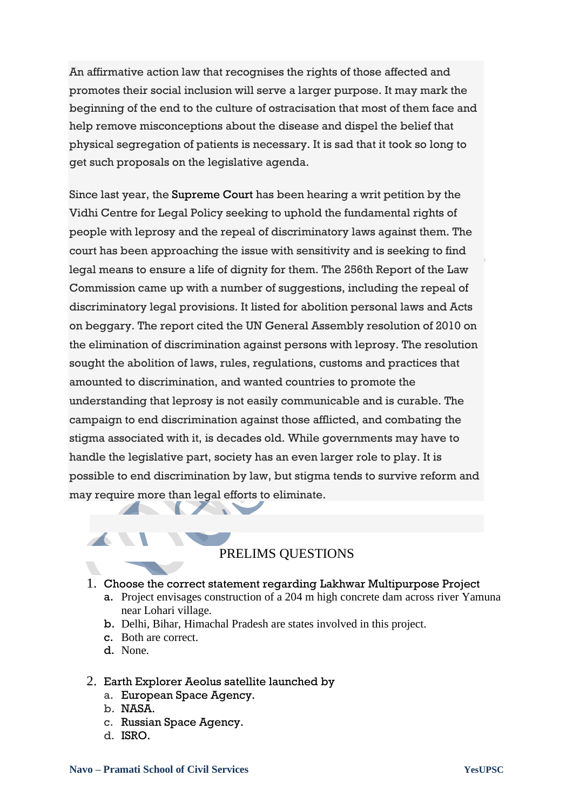An affirmative action law that recognises the rights of those affected and promotes their social inclusion will serve a larger purpose. It may mark the beginning of the end to the culture of ostracisation that most of them face and help remove misconceptions about the disease and dispel the belief that physical segregation of patients is necessary. It is sad that it took so long to get such proposals on the legislative agenda.

Since last year, the [Supreme Court](https://www.thehindu.com/tag/Supreme_Court/?utm=bodytag) has been hearing a writ petition by the Vidhi Centre for Legal Policy seeking to uphold the fundamental rights of people with leprosy and the repeal of discriminatory laws against them. The court has been approaching the issue with sensitivity and is seeking to find legal means to ensure a life of dignity for them. The 256th Report of the Law Commission came up with a number of suggestions, including the repeal of discriminatory legal provisions. It listed for abolition personal laws and Acts on beggary. The report cited the UN General Assembly resolution of 2010 on the elimination of discrimination against persons with leprosy. The resolution sought the abolition of laws, rules, regulations, customs and practices that amounted to discrimination, and wanted countries to promote the understanding that leprosy is not easily communicable and is curable. The campaign to end discrimination against those afflicted, and combating the stigma associated with it, is decades old. While governments may have to handle the legislative part, society has an even larger role to play. It is possible to end discrimination by law, but stigma tends to survive reform and may require more than legal efforts to eliminate.

# PRELIMS QUESTIONS

### 1. Choose the correct statement regarding Lakhwar Multipurpose Project

- a. Project envisages construction of a 204 m high concrete dam across river Yamuna near Lohari village*.*
- b. Delhi, Bihar, Himachal Pradesh are states involved in this project.
- c. Both are correct.
- d. None.

### 2. Earth Explorer Aeolus satellite launched by

- a. European Space Agency.
- b. NASA.
- c. Russian Space Agency.
- d. ISRO.